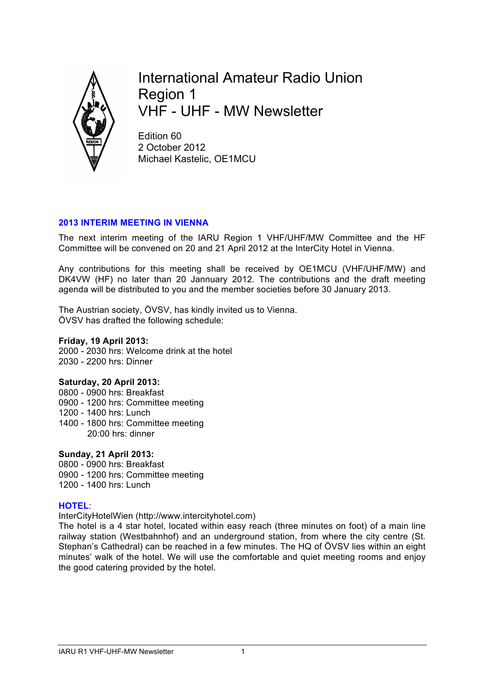

International Amateur Radio Union Region 1 VHF - UHF - MW Newsletter

Edition 60 2 October 2012 Michael Kastelic, OE1MCU

### **2013 INTERIM MEETING IN VIENNA**

The next interim meeting of the IARU Region 1 VHF/UHF/MW Committee and the HF Committee will be convened on 20 and 21 April 2012 at the InterCity Hotel in Vienna.

Any contributions for this meeting shall be received by OE1MCU (VHF/UHF/MW) and DK4VW (HF) no later than 20 Jannuary 2012. The contributions and the draft meeting agenda will be distributed to you and the member societies before 30 January 2013.

The Austrian society, ÖVSV, has kindly invited us to Vienna. ÖVSV has drafted the following schedule:

## **Friday, 19 April 2013:**

2000 - 2030 hrs: Welcome drink at the hotel 2030 - 2200 hrs: Dinner

#### **Saturday, 20 April 2013:**

0800 - 0900 hrs: Breakfast 0900 - 1200 hrs: Committee meeting 1200 - 1400 hrs: Lunch 1400 - 1800 hrs: Committee meeting 20:00 hrs: dinner

**Sunday, 21 April 2013:** 0800 - 0900 hrs: Breakfast 0900 - 1200 hrs: Committee meeting 1200 - 1400 hrs: Lunch

#### **HOTEL**:

InterCityHotelWien (http://www.intercityhotel.com)

The hotel is a 4 star hotel, located within easy reach (three minutes on foot) of a main line railway station (Westbahnhof) and an underground station, from where the city centre (St. Stephan's Cathedral) can be reached in a few minutes. The HQ of ÖVSV lies within an eight minutes' walk of the hotel. We will use the comfortable and quiet meeting rooms and enjoy the good catering provided by the hotel.